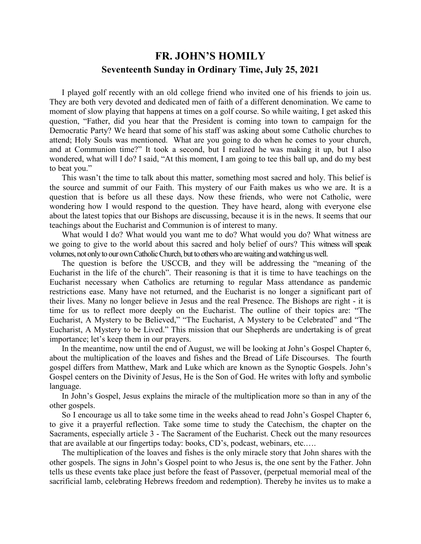## **FR. JOHN'S HOMILY Seventeenth Sunday in Ordinary Time, July 25, 2021**

 I played golf recently with an old college friend who invited one of his friends to join us. They are both very devoted and dedicated men of faith of a different denomination. We came to moment of slow playing that happens at times on a golf course. So while waiting, I get asked this question, "Father, did you hear that the President is coming into town to campaign for the Democratic Party? We heard that some of his staff was asking about some Catholic churches to attend; Holy Souls was mentioned. What are you going to do when he comes to your church, and at Communion time?" It took a second, but I realized he was making it up, but I also wondered, what will I do? I said, "At this moment, I am going to tee this ball up, and do my best to beat you."

 This wasn't the time to talk about this matter, something most sacred and holy. This belief is the source and summit of our Faith. This mystery of our Faith makes us who we are. It is a question that is before us all these days. Now these friends, who were not Catholic, were wondering how I would respond to the question. They have heard, along with everyone else about the latest topics that our Bishops are discussing, because it is in the news. It seems that our teachings about the Eucharist and Communion is of interest to many.

What would I do? What would you want me to do? What would you do? What witness are we going to give to the world about this sacred and holy belief of ours? This witness will speak volumes, not only to our own Catholic Church, but to others who are waiting and watching us well.

 The question is before the USCCB, and they will be addressing the "meaning of the Eucharist in the life of the church". Their reasoning is that it is time to have teachings on the Eucharist necessary when Catholics are returning to regular Mass attendance as pandemic restrictions ease. Many have not returned, and the Eucharist is no longer a significant part of their lives. Many no longer believe in Jesus and the real Presence. The Bishops are right - it is time for us to reflect more deeply on the Eucharist. The outline of their topics are: "The Eucharist, A Mystery to be Believed," "The Eucharist, A Mystery to be Celebrated" and "The Eucharist, A Mystery to be Lived." This mission that our Shepherds are undertaking is of great importance; let's keep them in our prayers.

 In the meantime, now until the end of August, we will be looking at John's Gospel Chapter 6, about the multiplication of the loaves and fishes and the Bread of Life Discourses. The fourth gospel differs from Matthew, Mark and Luke which are known as the Synoptic Gospels. John's Gospel centers on the Divinity of Jesus, He is the Son of God. He writes with lofty and symbolic language.

 In John's Gospel, Jesus explains the miracle of the multiplication more so than in any of the other gospels.

 So I encourage us all to take some time in the weeks ahead to read John's Gospel Chapter 6, to give it a prayerful reflection. Take some time to study the Catechism, the chapter on the Sacraments, especially article 3 - The Sacrament of the Eucharist. Check out the many resources that are available at our fingertips today: books, CD's, podcast, webinars, etc.….

 The multiplication of the loaves and fishes is the only miracle story that John shares with the other gospels. The signs in John's Gospel point to who Jesus is, the one sent by the Father. John tells us these events take place just before the feast of Passover, (perpetual memorial meal of the sacrificial lamb, celebrating Hebrews freedom and redemption). Thereby he invites us to make a